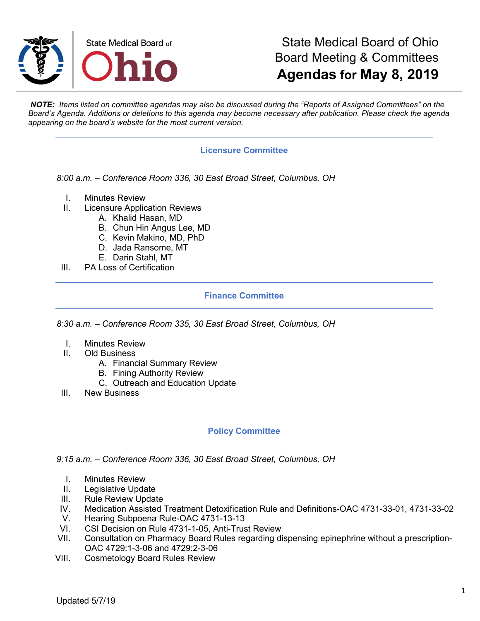

## State Medical Board of Ohio Board Meeting & Committees **Agendas for May 8, 2019**

*NOTE: Items listed on committee agendas may also be discussed during the "Reports of Assigned Committees" on the Board's Agenda. Additions or deletions to this agenda may become necessary after publication. Please check the agenda appearing on the board's website for the most current version.*

### **Licensure Committee**

*8:00 a.m. – Conference Room 336, 30 East Broad Street, Columbus, OH*

- I. Minutes Review
- II. Licensure Application Reviews
	- A. Khalid Hasan, MD
	- B. Chun Hin Angus Lee, MD
	- C. Kevin Makino, MD, PhD
	- D. Jada Ransome, MT
	- E. Darin Stahl, MT
- III. PA Loss of Certification

### **Finance Committee**

*8:30 a.m. – Conference Room 335, 30 East Broad Street, Columbus, OH*

- I. Minutes Review
- II. Old Business
	- A. Financial Summary Review
	- B. Fining Authority Review
	- C. Outreach and Education Update
- III. New Business

#### **Policy Committee**

*9:15 a.m. – Conference Room 336, 30 East Broad Street, Columbus, OH*

- I. Minutes Review
- II. Legislative Update
- III. Rule Review Update
- IV. Medication Assisted Treatment Detoxification Rule and Definitions-OAC 4731-33-01, 4731-33-02
- V. Hearing Subpoena Rule-OAC 4731-13-13
- VI. CSI Decision on Rule 4731-1-05, Anti-Trust Review
- VII. Consultation on Pharmacy Board Rules regarding dispensing epinephrine without a prescription-OAC 4729:1-3-06 and 4729:2-3-06
- VIII. Cosmetology Board Rules Review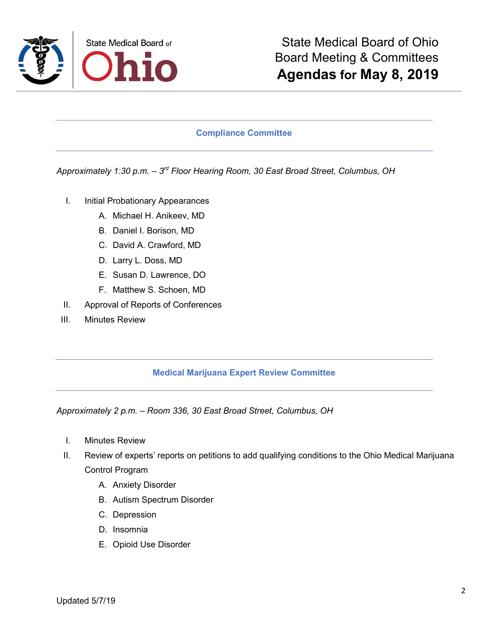

#### **Compliance Committee**

*Approximately 1:30 p.m. – 3rd Floor Hearing Room, 30 East Broad Street, Columbus, OH*

- I. Initial Probationary Appearances
	- A. Michael H. Anikeev, MD
	- B. Daniel I. Borison, MD
	- C. David A. Crawford, MD
	- D. Larry L. Doss, MD
	- E. Susan D. Lawrence, DO
	- F. Matthew S. Schoen, MD
- II. Approval of Reports of Conferences
- III. Minutes Review

#### **Medical Marijuana Expert Review Committee**

*Approximately 2 p.m. – Room 336, 30 East Broad Street, Columbus, OH*

- I. Minutes Review
- II. Review of experts' reports on petitions to add qualifying conditions to the Ohio Medical Marijuana Control Program
	- A. Anxiety Disorder
	- B. Autism Spectrum Disorder
	- C. Depression
	- D. Insomnia
	- E. Opioid Use Disorder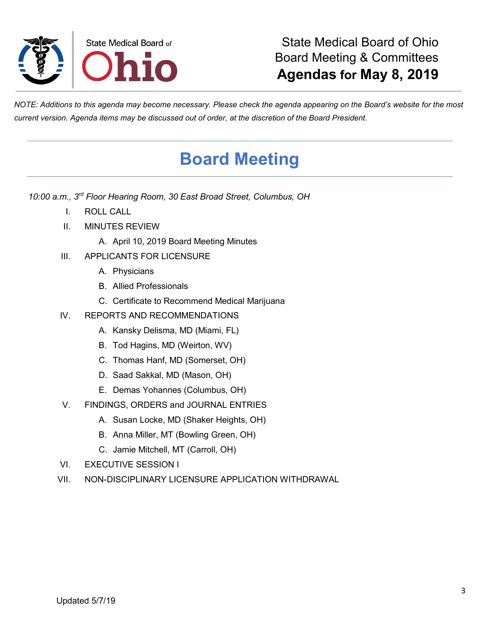

*NOTE: Additions to this agenda may become necessary. Please check the agenda appearing on the Board's website for the most current version. Agenda items may be discussed out of order, at the discretion of the Board President.*

# **Board Meeting**

*10:00 a.m., 3rd Floor Hearing Room, 30 East Broad Street, Columbus, OH*

- I. ROLL CALL
- II. MINUTES REVIEW
	- A. April 10, 2019 Board Meeting Minutes
- III. APPLICANTS FOR LICENSURE
	- A. Physicians
	- B. Allied Professionals
	- C. Certificate to Recommend Medical Marijuana
- IV. REPORTS AND RECOMMENDATIONS
	- A. Kansky Delisma, MD (Miami, FL)
	- B. Tod Hagins, MD (Weirton, WV)
	- C. Thomas Hanf, MD (Somerset, OH)
	- D. Saad Sakkal, MD (Mason, OH)
	- E. Demas Yohannes (Columbus, OH)
- V. FINDINGS, ORDERS and JOURNAL ENTRIES
	- A. Susan Locke, MD (Shaker Heights, OH)
	- B. Anna Miller, MT (Bowling Green, OH)
	- C. Jamie Mitchell, MT (Carroll, OH)
- VI. EXECUTIVE SESSION I
- VII. NON-DISCIPLINARY LICENSURE APPLICATION WITHDRAWAL